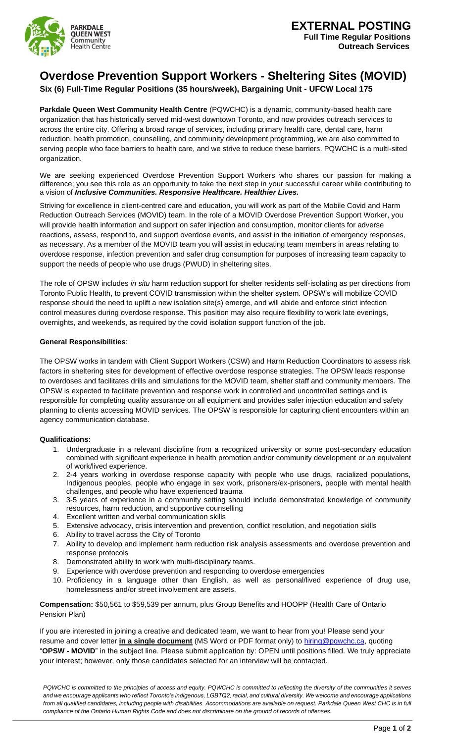

## **Overdose Prevention Support Workers - Sheltering Sites (MOVID)**

**Six (6) Full-Time Regular Positions (35 hours/week), Bargaining Unit - UFCW Local 175**

**Parkdale Queen West Community Health Centre** (PQWCHC) is a dynamic, community-based health care organization that has historically served mid-west downtown Toronto, and now provides outreach services to across the entire city. Offering a broad range of services, including primary health care, dental care, harm reduction, health promotion, counselling, and community development programming, we are also committed to serving people who face barriers to health care, and we strive to reduce these barriers. PQWCHC is a multi-sited organization.

We are seeking experienced Overdose Prevention Support Workers who shares our passion for making a difference; you see this role as an opportunity to take the next step in your successful career while contributing to a vision of *Inclusive Communities. Responsive Healthcare. Healthier Lives.*

Striving for excellence in client-centred care and education, you will work as part of the Mobile Covid and Harm Reduction Outreach Services (MOVID) team. In the role of a MOVID Overdose Prevention Support Worker, you will provide health information and support on safer injection and consumption, monitor clients for adverse reactions, assess, respond to, and support overdose events, and assist in the initiation of emergency responses, as necessary. As a member of the MOVID team you will assist in educating team members in areas relating to overdose response, infection prevention and safer drug consumption for purposes of increasing team capacity to support the needs of people who use drugs (PWUD) in sheltering sites.

The role of OPSW includes *in situ* harm reduction support for shelter residents self-isolating as per directions from Toronto Public Health, to prevent COVID transmission within the shelter system. OPSW's will mobilize COVID response should the need to uplift a new isolation site(s) emerge, and will abide and enforce strict infection control measures during overdose response. This position may also require flexibility to work late evenings, overnights, and weekends, as required by the covid isolation support function of the job.

## **General Responsibilities**:

The OPSW works in tandem with Client Support Workers (CSW) and Harm Reduction Coordinators to assess risk factors in sheltering sites for development of effective overdose response strategies. The OPSW leads response to overdoses and facilitates drills and simulations for the MOVID team, shelter staff and community members. The OPSW is expected to facilitate prevention and response work in controlled and uncontrolled settings and is responsible for completing quality assurance on all equipment and provides safer injection education and safety planning to clients accessing MOVID services. The OPSW is responsible for capturing client encounters within an agency communication database.

## **Qualifications:**

- 1. Undergraduate in a relevant discipline from a recognized university or some post-secondary education combined with significant experience in health promotion and/or community development or an equivalent of work/lived experience.
- 2. 2-4 years working in overdose response capacity with people who use drugs, racialized populations, Indigenous peoples, people who engage in sex work, prisoners/ex-prisoners, people with mental health challenges, and people who have experienced trauma
- 3. 3-5 years of experience in a community setting should include demonstrated knowledge of community resources, harm reduction, and supportive counselling
- 4. Excellent written and verbal communication skills
- 5. Extensive advocacy, crisis intervention and prevention, conflict resolution, and negotiation skills
- 6. Ability to travel across the City of Toronto
- 7. Ability to develop and implement harm reduction risk analysis assessments and overdose prevention and response protocols
- 8. Demonstrated ability to work with multi-disciplinary teams.
- 9. Experience with overdose prevention and responding to overdose emergencies
- 10. Proficiency in a language other than English, as well as personal/lived experience of drug use, homelessness and/or street involvement are assets.

**Compensation:** \$50,561 to \$59,539 per annum, plus Group Benefits and HOOPP (Health Care of Ontario Pension Plan)

If you are interested in joining a creative and dedicated team, we want to hear from you! Please send your resume and cover letter *in a single document* (MS Word or PDF format only) to **hiring@pqwchc.ca**, quoting "**OPSW - MOVID**" in the subject line. Please submit application by: OPEN until positions filled. We truly appreciate your interest; however, only those candidates selected for an interview will be contacted.

*PQWCHC is committed to the principles of access and equity. PQWCHC is committed to reflecting the diversity of the communities it serves and we encourage applicants who reflect Toronto's indigenous, LGBTQ2, racial, and cultural diversity. We welcome and encourage applications*  from all qualified candidates, including people with disabilities. Accommodations are available on request. Parkdale Queen West CHC is in full *compliance of the Ontario Human Rights Code and does not discriminate on the ground of records of offenses.*